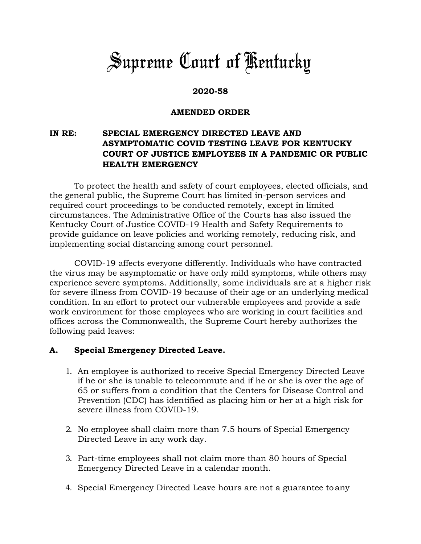# *Supreme Court of Kentucky*

### **2020-58**

#### **AMENDED ORDER**

## **IN RE: SPECIAL EMERGENCY DIRECTED LEAVE AND ASYMPTOMATIC COVID TESTING LEAVE FOR KENTUCKY COURT OF JUSTICE EMPLOYEES IN A PANDEMIC OR PUBLIC HEALTH EMERGENCY**

To protect the health and safety of court employees, elected officials, and the general public, the Supreme Court has limited in-person services and required court proceedings to be conducted remotely, except in limited circumstances. The Administrative Office of the Courts has also issued the Kentucky Court of Justice COVID-19 Health and Safety Requirements to provide guidance on leave policies and working remotely, reducing risk, and implementing social distancing among court personnel.

COVID-19 affects everyone differently. Individuals who have contracted the virus may be asymptomatic or have only mild symptoms, while others may experience severe symptoms. Additionally, some individuals are at a higher risk for severe illness from COVID-19 because of their age or an underlying medical condition. In an effort to protect our vulnerable employees and provide a safe work environment for those employees who are working in court facilities and offices across the Commonwealth, the Supreme Court hereby authorizes the following paid leaves:

#### **A. Special Emergency Directed Leave.**

- 1. An employee is authorized to receive Special Emergency Directed Leave if he or she is unable to telecommute and if he or she is over the age of 65 or suffers from a condition that the Centers for Disease Control and Prevention (CDC) has identified as placing him or her at a high risk for severe illness from COVID-19.
- 2. No employee shall claim more than 7.5 hours of Special Emergency Directed Leave in any work day.
- 3. Part-time employees shall not claim more than 80 hours of Special Emergency Directed Leave in a calendar month.
- 4. Special Emergency Directed Leave hours are not a guarantee to any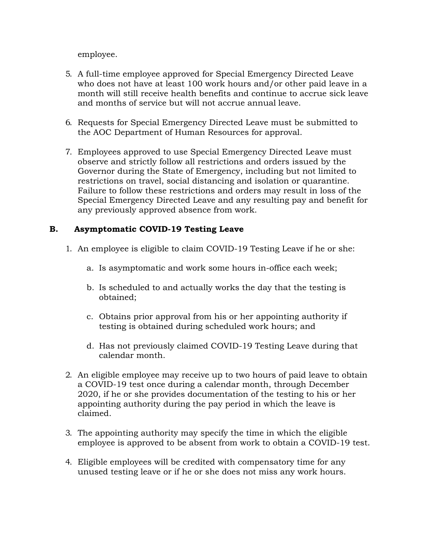employee.

- 5. A full-time employee approved for Special Emergency Directed Leave who does not have at least 100 work hours and/or other paid leave in a month will still receive health benefits and continue to accrue sick leave and months of service but will not accrue annual leave.
- 6. Requests for Special Emergency Directed Leave must be submitted to the AOC Department of Human Resources for approval.
- 7. Employees approved to use Special Emergency Directed Leave must observe and strictly follow all restrictions and orders issued by the Governor during the State of Emergency, including but not limited to restrictions on travel, social distancing and isolation or quarantine. Failure to follow these restrictions and orders may result in loss of the Special Emergency Directed Leave and any resulting pay and benefit for any previously approved absence from work.

# **B. Asymptomatic COVID-19 Testing Leave**

- 1. An employee is eligible to claim COVID-19 Testing Leave if he or she:
	- a. Is asymptomatic and work some hours in-office each week;
	- b. Is scheduled to and actually works the day that the testing is obtained;
	- c. Obtains prior approval from his or her appointing authority if testing is obtained during scheduled work hours; and
	- d. Has not previously claimed COVID-19 Testing Leave during that calendar month.
- 2. An eligible employee may receive up to two hours of paid leave to obtain a COVID-19 test once during a calendar month, through December 2020, if he or she provides documentation of the testing to his or her appointing authority during the pay period in which the leave is claimed.
- 3. The appointing authority may specify the time in which the eligible employee is approved to be absent from work to obtain a COVID-19 test.
- 4. Eligible employees will be credited with compensatory time for any unused testing leave or if he or she does not miss any work hours.